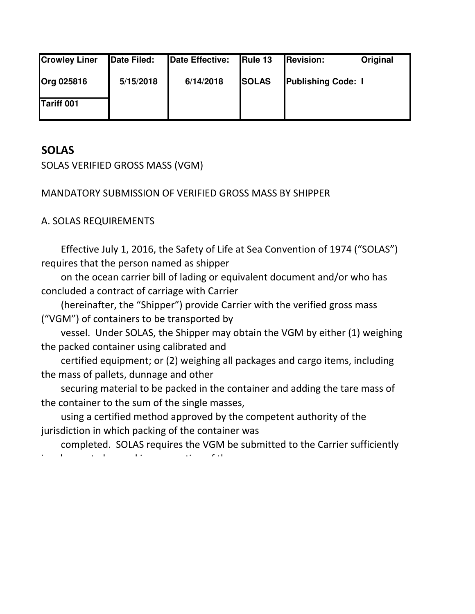| <b>Crowley Liner</b> | Date Filed: | Date Effective: | Rule 13      | <b>Revision:</b>          | Original |
|----------------------|-------------|-----------------|--------------|---------------------------|----------|
| <b>Org 025816</b>    | 5/15/2018   | 6/14/2018       | <b>SOLAS</b> | <b>Publishing Code: I</b> |          |
| Tariff 001           |             |                 |              |                           |          |

# **SOLAS**

SOLAS VERIFIED GROSS MASS (VGM)

# MANDATORY SUBMISSION OF VERIFIED GROSS MASS BY SHIPPER

# A. SOLAS REQUIREMENTS

 Effective July 1, 2016, the Safety of Life at Sea Convention of 1974 ("SOLAS") requires that the person named as shipper

 on the ocean carrier bill of lading or equivalent document and/or who has concluded a contract of carriage with Carrier

 (hereinafter, the "Shipper") provide Carrier with the verified gross mass ("VGM") of containers to be transported by

 vessel. Under SOLAS, the Shipper may obtain the VGM by either (1) weighing the packed container using calibrated and

 certified equipment; or (2) weighing all packages and cargo items, including the mass of pallets, dunnage and other

 securing material to be packed in the container and adding the tare mass of the container to the sum of the single masses,

 using a certified method approved by the competent authority of the jurisdiction in which packing of the container was

 completed. SOLAS requires the VGM be submitted to the Carrier sufficiently in advance to be used in preparation of the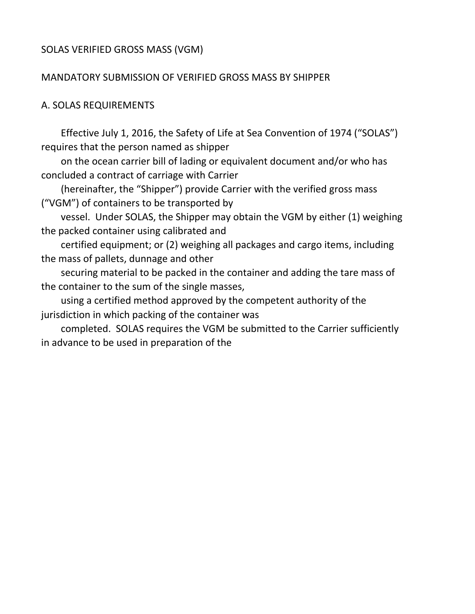### SOLAS VERIFIED GROSS MASS (VGM)

#### MANDATORY SUBMISSION OF VERIFIED GROSS MASS BY SHIPPER

#### A. SOLAS REQUIREMENTS

 Effective July 1, 2016, the Safety of Life at Sea Convention of 1974 ("SOLAS") requires that the person named as shipper

 on the ocean carrier bill of lading or equivalent document and/or who has concluded a contract of carriage with Carrier

 (hereinafter, the "Shipper") provide Carrier with the verified gross mass ("VGM") of containers to be transported by

 vessel. Under SOLAS, the Shipper may obtain the VGM by either (1) weighing the packed container using calibrated and

 certified equipment; or (2) weighing all packages and cargo items, including the mass of pallets, dunnage and other

 securing material to be packed in the container and adding the tare mass of the container to the sum of the single masses,

 using a certified method approved by the competent authority of the jurisdiction in which packing of the container was

 completed. SOLAS requires the VGM be submitted to the Carrier sufficiently in advance to be used in preparation of the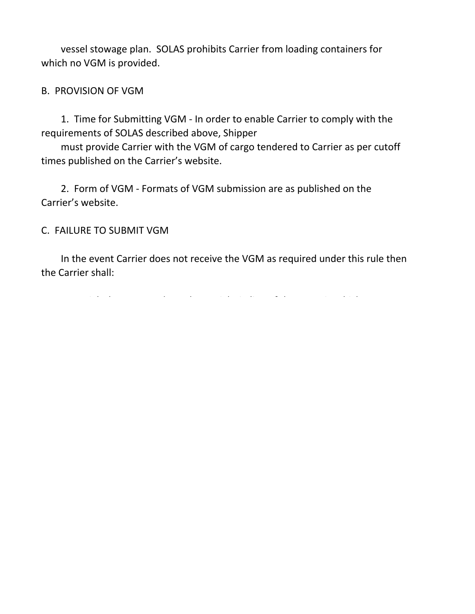vessel stowage plan. SOLAS prohibits Carrier from loading containers for which no VGM is provided.

### B. PROVISION OF VGM

 1. Time for Submitting VGM - In order to enable Carrier to comply with the requirements of SOLAS described above, Shipper

 must provide Carrier with the VGM of cargo tendered to Carrier as per cutoff times published on the Carrier's website.

 2. Form of VGM - Formats of VGM submission are as published on the Carrier's website.

### C. FAILURE TO SUBMIT VGM

 In the event Carrier does not receive the VGM as required under this rule then the Carrier shall: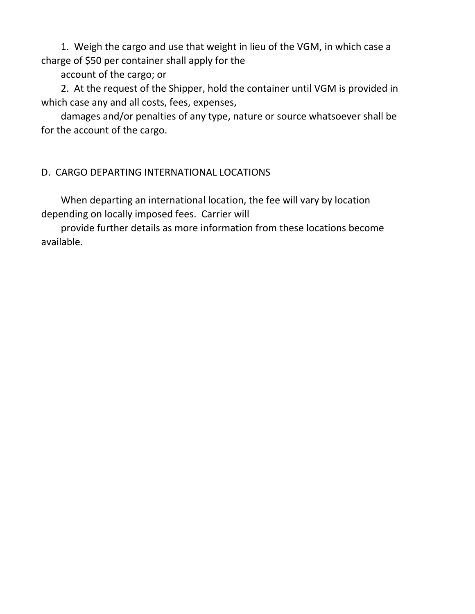1. Weigh the cargo and use that weight in lieu of the VGM, in which case a charge of \$50 per container shall apply for the

account of the cargo; or

 2. At the request of the Shipper, hold the container until VGM is provided in which case any and all costs, fees, expenses,

 damages and/or penalties of any type, nature or source whatsoever shall be for the account of the cargo.

## D. CARGO DEPARTING INTERNATIONAL LOCATIONS

 When departing an international location, the fee will vary by location depending on locally imposed fees. Carrier will

 provide further details as more information from these locations become available.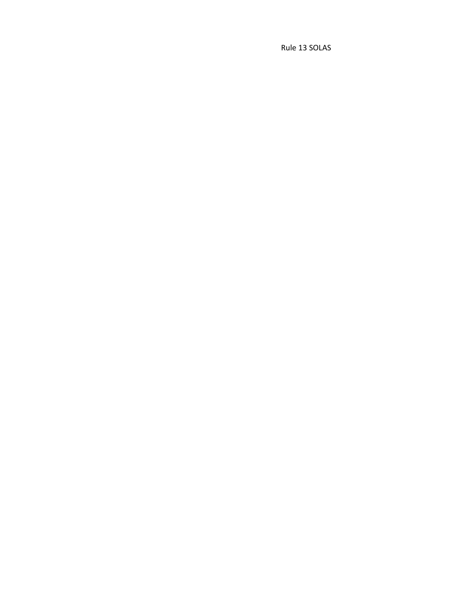Rule 13 SOLAS